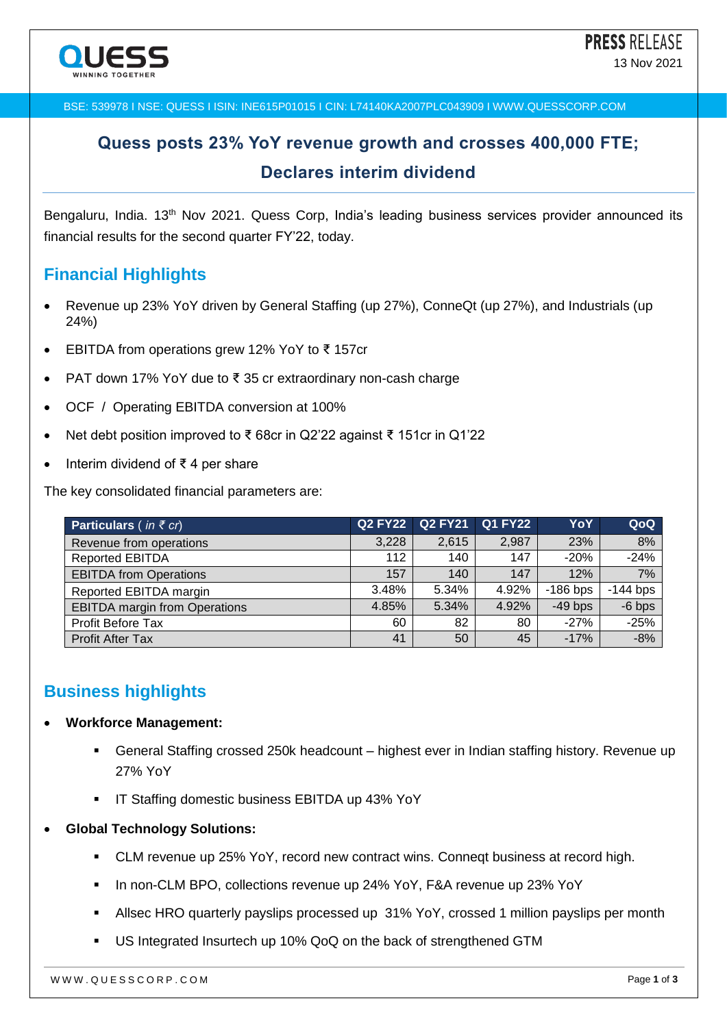BSE: 539978 I NSE: QUESS I ISIN: INE615P01015 I CIN: L74140KA2007PLC043909 I WWW.QUESSCORP.COM

# **Quess posts 23% YoY revenue growth and crosses 400,000 FTE; Declares interim dividend**

Bengaluru, India. 13<sup>th</sup> Nov 2021. Quess Corp, India's leading business services provider announced its financial results for the second quarter FY'22, today.

### **Financial Highlights**

- Revenue up 23% YoY driven by General Staffing (up 27%), ConneQt (up 27%), and Industrials (up 24%)
- EBITDA from operations grew 12% YoY to ₹ 157cr
- PAT down 17% YoY due to ₹ 35 cr extraordinary non-cash charge
- OCF / Operating EBITDA conversion at 100%
- Net debt position improved to ₹ 68cr in Q2'22 against ₹ 151cr in Q1'22
- Interim dividend of ₹ 4 per share

The key consolidated financial parameters are:

| <b>Particulars</b> (in $\bar{\epsilon}$ cr) |       | <b>Q2 FY22 Q2 FY21 Q1 FY22</b> |       | YoY        | QoQ        |
|---------------------------------------------|-------|--------------------------------|-------|------------|------------|
| Revenue from operations                     | 3,228 | 2,615                          | 2,987 | 23%        | 8%         |
| <b>Reported EBITDA</b>                      | 112   | 140                            | 147   | $-20%$     | $-24%$     |
| <b>EBITDA from Operations</b>               | 157   | 140                            | 147   | 12%        | 7%         |
| Reported EBITDA margin                      | 3.48% | 5.34%                          | 4.92% | $-186$ bps | $-144$ bps |
| <b>EBITDA</b> margin from Operations        | 4.85% | 5.34%                          | 4.92% | $-49$ bps  | $-6$ bps   |
| Profit Before Tax                           | 60    | 82                             | 80    | $-27%$     | $-25%$     |
| <b>Profit After Tax</b>                     | 41    | 50                             | 45    | $-17%$     | $-8%$      |

## **Business highlights**

#### **Workforce Management:**

- General Staffing crossed 250k headcount highest ever in Indian staffing history. Revenue up 27% YoY
- **IF Staffing domestic business EBITDA up 43% YoY**
- **Global Technology Solutions:**
	- CLM revenue up 25% YoY, record new contract wins. Conneqt business at record high.
	- In non-CLM BPO, collections revenue up 24% YoY, F&A revenue up 23% YoY
	- Allsec HRO quarterly payslips processed up 31% YoY, crossed 1 million payslips per month
	- US Integrated Insurtech up 10% QoQ on the back of strengthened GTM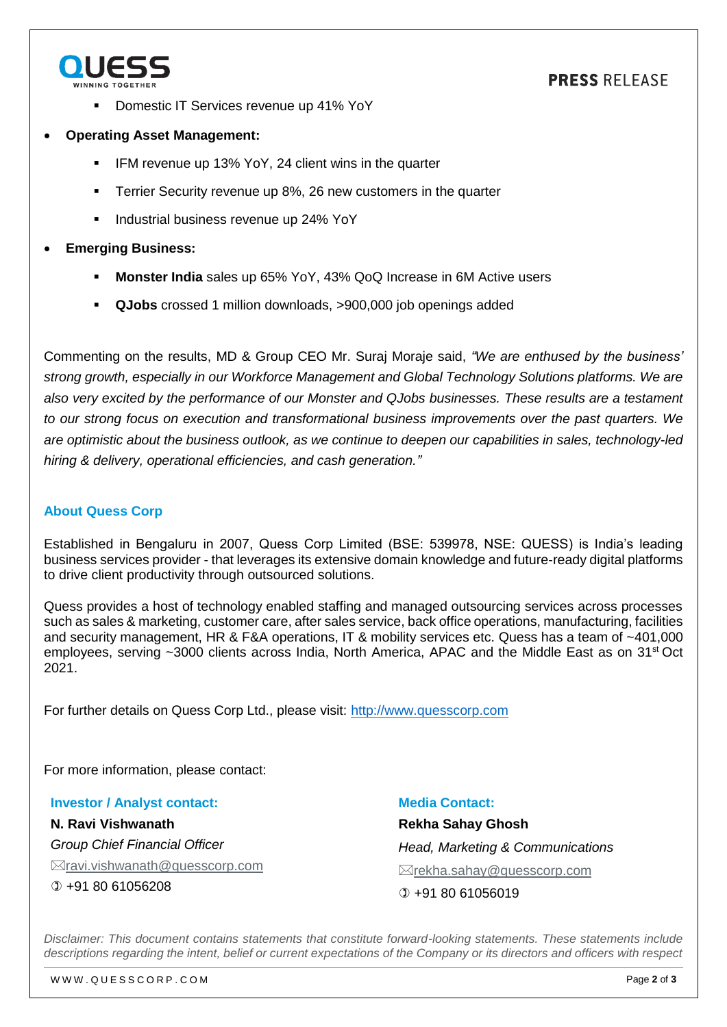

### **PRESS RELEASE**

- Domestic IT Services revenue up 41% YoY
- **Operating Asset Management:**
	- IFM revenue up 13% YoY, 24 client wins in the quarter
	- Terrier Security revenue up 8%, 26 new customers in the quarter
	- Industrial business revenue up 24% YoY

#### **Emerging Business:**

- **Monster India** sales up 65% YoY, 43% QoQ Increase in 6M Active users
- **QJobs** crossed 1 million downloads, >900,000 job openings added

Commenting on the results, MD & Group CEO Mr. Suraj Moraje said, *"We are enthused by the business' strong growth, especially in our Workforce Management and Global Technology Solutions platforms. We are also very excited by the performance of our Monster and QJobs businesses. These results are a testament to our strong focus on execution and transformational business improvements over the past quarters. We are optimistic about the business outlook, as we continue to deepen our capabilities in sales, technology-led hiring & delivery, operational efficiencies, and cash generation."*

#### **About Quess Corp**

Established in Bengaluru in 2007, Quess Corp Limited (BSE: 539978, NSE: QUESS) is India's leading business services provider - that leverages its extensive domain knowledge and future-ready digital platforms to drive client productivity through outsourced solutions.

Quess provides a host of technology enabled staffing and managed outsourcing services across processes such as sales & marketing, customer care, after sales service, back office operations, manufacturing, facilities and security management, HR & F&A operations, IT & mobility services etc. Quess has a team of ~401,000 employees, serving ~3000 clients across India, North America, APAC and the Middle East as on 31<sup>st</sup> Oct 2021.

For further details on Quess Corp Ltd., please visit: [http://www.quesscorp.com](http://www.quesscorp.com/)

For more information, please contact:

**Investor / Analyst contact:** Media Contact:

**N. Ravi Vishwanath** *Group Chief Financial Officer*  $\boxtimes$ [ravi.vishwanath@quesscorp.com](mailto:ramki@quesscorp.com) +91 80 61056208

**Rekha Sahay Ghosh** *Head, Marketing & Communications* rekha.sahay@quesscorp.com  $(D +918061056019$ 

*Disclaimer: This document contains statements that constitute forward-looking statements. These statements include descriptions regarding the intent, belief or current expectations of the Company or its directors and officers with respect*